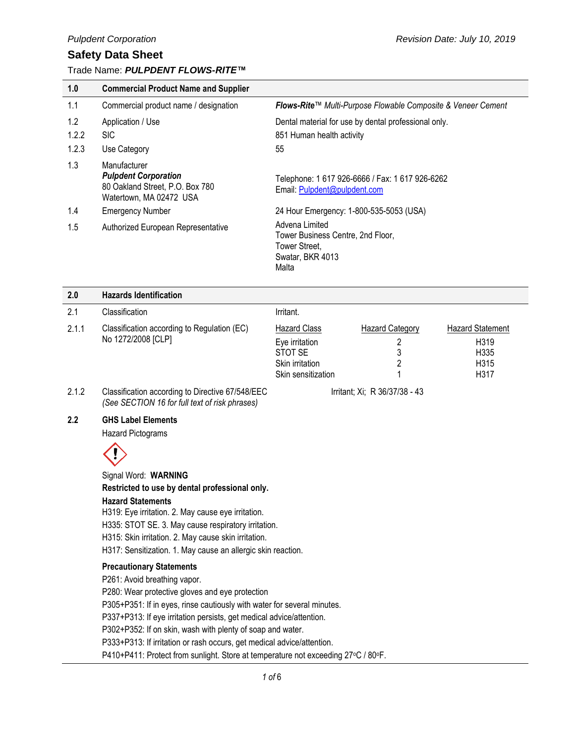#### Trade Name: *PULPDENT FLOWS-RITE™*

| 1.0   | <b>Commercial Product Name and Supplier</b>                                                               |                                                                                                   |
|-------|-----------------------------------------------------------------------------------------------------------|---------------------------------------------------------------------------------------------------|
| 1.1   | Commercial product name / designation                                                                     | Flows-Rite™ Multi-Purpose Flowable Composite & Veneer Cement                                      |
| 1.2   | Application / Use                                                                                         | Dental material for use by dental professional only.                                              |
| 1.2.2 | <b>SIC</b>                                                                                                | 851 Human health activity                                                                         |
| 1.2.3 | Use Category                                                                                              | 55                                                                                                |
| 1.3   | Manufacturer<br><b>Pulpdent Corporation</b><br>80 Oakland Street, P.O. Box 780<br>Watertown, MA 02472 USA | Telephone: 1 617 926-6666 / Fax: 1 617 926-6262<br>Email: Pulpdent@pulpdent.com                   |
| 1.4   | <b>Emergency Number</b>                                                                                   | 24 Hour Emergency: 1-800-535-5053 (USA)                                                           |
| 1.5   | Authorized European Representative                                                                        | Advena Limited<br>Tower Business Centre, 2nd Floor,<br>Tower Street,<br>Swatar, BKR 4013<br>Malta |

| <b>Hazards Identification</b>               |                     |                        |                         |
|---------------------------------------------|---------------------|------------------------|-------------------------|
| Classification                              | Irritant.           |                        |                         |
| Classification according to Regulation (EC) | <b>Hazard Class</b> | <b>Hazard Category</b> | <b>Hazard Statement</b> |
|                                             | Eye irritation      |                        | H <sub>3</sub> 19       |
|                                             | STOT SE             |                        | H335                    |
|                                             | Skin irritation     |                        | H315                    |
|                                             | Skin sensitization  |                        | H317                    |
|                                             | No 1272/2008 [CLP]  |                        |                         |

Irritant; Xi; R 36/37/38 - 43

2.1.2 Classification according to Directive 67/548/EEC *(See SECTION 16 for full text of risk phrases)*

#### **2.2 GHS Label Elements**

Hazard Pictograms



Signal Word: **WARNING**

**Restricted to use by dental professional only. Hazard Statements**

H319: Eye irritation. 2. May cause eye irritation.

H335: STOT SE. 3. May cause respiratory irritation.

H315: Skin irritation. 2. May cause skin irritation.

H317: Sensitization. 1. May cause an allergic skin reaction.

#### **Precautionary Statements**

P261: Avoid breathing vapor. P280: Wear protective gloves and eye protection P305+P351: If in eyes, rinse cautiously with water for several minutes. P337+P313: If eye irritation persists, get medical advice/attention. P302+P352: If on skin, wash with plenty of soap and water. P333+P313: If irritation or rash occurs, get medical advice/attention. P410+P411: Protect from sunlight. Store at temperature not exceeding 27°C / 80°F.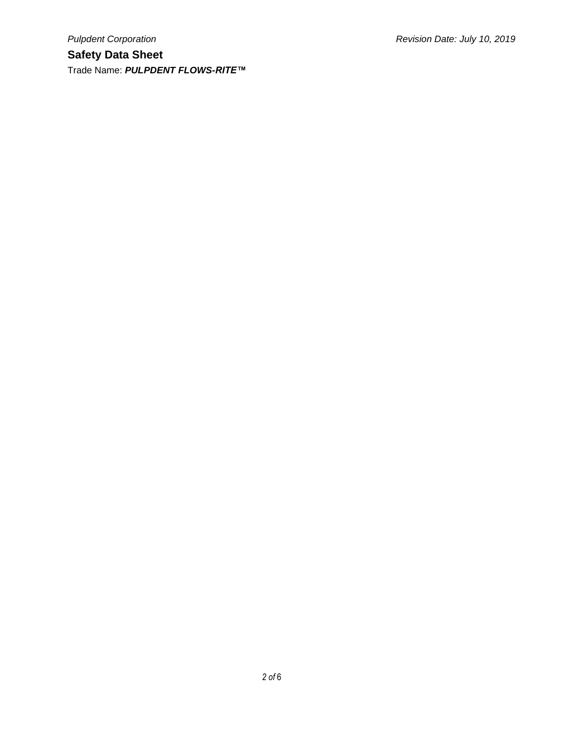**Safety Data Sheet**  Trade Name: *PULPDENT FLOWS-RITE™*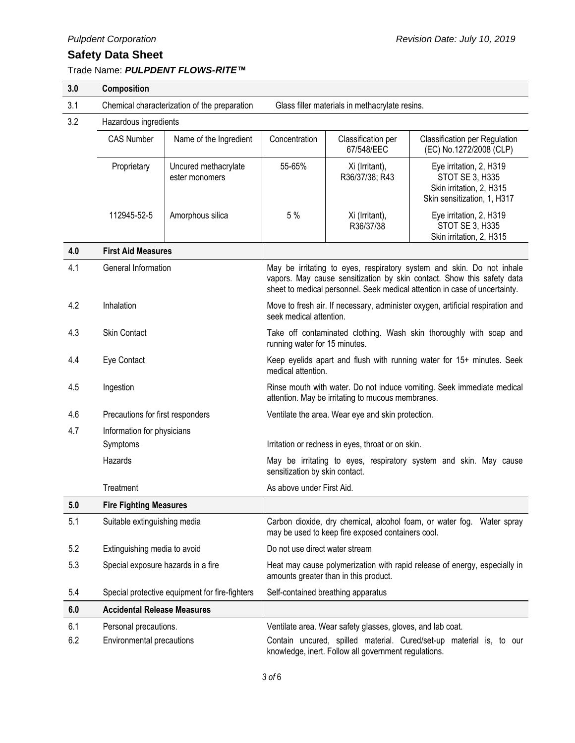| 3.0 | Composition                                                                                    |                                                |                                                                                                                                                                                                                               |                                                            |                                                                                                       |
|-----|------------------------------------------------------------------------------------------------|------------------------------------------------|-------------------------------------------------------------------------------------------------------------------------------------------------------------------------------------------------------------------------------|------------------------------------------------------------|-------------------------------------------------------------------------------------------------------|
| 3.1 | Chemical characterization of the preparation<br>Glass filler materials in methacrylate resins. |                                                |                                                                                                                                                                                                                               |                                                            |                                                                                                       |
| 3.2 | Hazardous ingredients                                                                          |                                                |                                                                                                                                                                                                                               |                                                            |                                                                                                       |
|     | <b>CAS Number</b>                                                                              | Name of the Ingredient                         | Concentration                                                                                                                                                                                                                 | Classification per<br>67/548/EEC                           | Classification per Regulation<br>(EC) No.1272/2008 (CLP)                                              |
|     | Proprietary                                                                                    | Uncured methacrylate<br>ester monomers         | 55-65%                                                                                                                                                                                                                        | Xi (Irritant),<br>R36/37/38; R43                           | Eye irritation, 2, H319<br>STOT SE 3, H335<br>Skin irritation, 2, H315<br>Skin sensitization, 1, H317 |
|     | 112945-52-5                                                                                    | Amorphous silica                               | 5 %                                                                                                                                                                                                                           | Xi (Irritant),<br>R36/37/38                                | Eye irritation, 2, H319<br>STOT SE 3, H335<br>Skin irritation, 2, H315                                |
| 4.0 | <b>First Aid Measures</b>                                                                      |                                                |                                                                                                                                                                                                                               |                                                            |                                                                                                       |
| 4.1 | General Information                                                                            |                                                | May be irritating to eyes, respiratory system and skin. Do not inhale<br>vapors. May cause sensitization by skin contact. Show this safety data<br>sheet to medical personnel. Seek medical attention in case of uncertainty. |                                                            |                                                                                                       |
| 4.2 | Inhalation                                                                                     |                                                | Move to fresh air. If necessary, administer oxygen, artificial respiration and<br>seek medical attention.                                                                                                                     |                                                            |                                                                                                       |
| 4.3 | <b>Skin Contact</b>                                                                            |                                                | Take off contaminated clothing. Wash skin thoroughly with soap and<br>running water for 15 minutes.                                                                                                                           |                                                            |                                                                                                       |
| 4.4 | Eye Contact                                                                                    |                                                | Keep eyelids apart and flush with running water for 15+ minutes. Seek<br>medical attention.                                                                                                                                   |                                                            |                                                                                                       |
| 4.5 | Ingestion                                                                                      |                                                | Rinse mouth with water. Do not induce vomiting. Seek immediate medical<br>attention. May be irritating to mucous membranes.                                                                                                   |                                                            |                                                                                                       |
| 4.6 | Precautions for first responders                                                               |                                                | Ventilate the area. Wear eye and skin protection.                                                                                                                                                                             |                                                            |                                                                                                       |
| 4.7 | Information for physicians                                                                     |                                                |                                                                                                                                                                                                                               |                                                            |                                                                                                       |
|     | Symptoms                                                                                       |                                                |                                                                                                                                                                                                                               | Irritation or redness in eyes, throat or on skin.          |                                                                                                       |
|     | Hazards                                                                                        |                                                | sensitization by skin contact.                                                                                                                                                                                                |                                                            | May be irritating to eyes, respiratory system and skin. May cause                                     |
|     | Treatment                                                                                      |                                                | As above under First Aid.                                                                                                                                                                                                     |                                                            |                                                                                                       |
| 5.0 | <b>Fire Fighting Measures</b>                                                                  |                                                |                                                                                                                                                                                                                               |                                                            |                                                                                                       |
| 5.1 | Suitable extinguishing media                                                                   |                                                | Carbon dioxide, dry chemical, alcohol foam, or water fog. Water spray<br>may be used to keep fire exposed containers cool.                                                                                                    |                                                            |                                                                                                       |
| 5.2 | Extinguishing media to avoid                                                                   |                                                | Do not use direct water stream                                                                                                                                                                                                |                                                            |                                                                                                       |
| 5.3 | Special exposure hazards in a fire                                                             |                                                | Heat may cause polymerization with rapid release of energy, especially in<br>amounts greater than in this product.                                                                                                            |                                                            |                                                                                                       |
| 5.4 |                                                                                                | Special protective equipment for fire-fighters |                                                                                                                                                                                                                               | Self-contained breathing apparatus                         |                                                                                                       |
| 6.0 | <b>Accidental Release Measures</b>                                                             |                                                |                                                                                                                                                                                                                               |                                                            |                                                                                                       |
| 6.1 | Personal precautions.                                                                          |                                                |                                                                                                                                                                                                                               | Ventilate area. Wear safety glasses, gloves, and lab coat. |                                                                                                       |
| 6.2 | Environmental precautions                                                                      |                                                |                                                                                                                                                                                                                               | knowledge, inert. Follow all government regulations.       | Contain uncured, spilled material. Cured/set-up material is, to our                                   |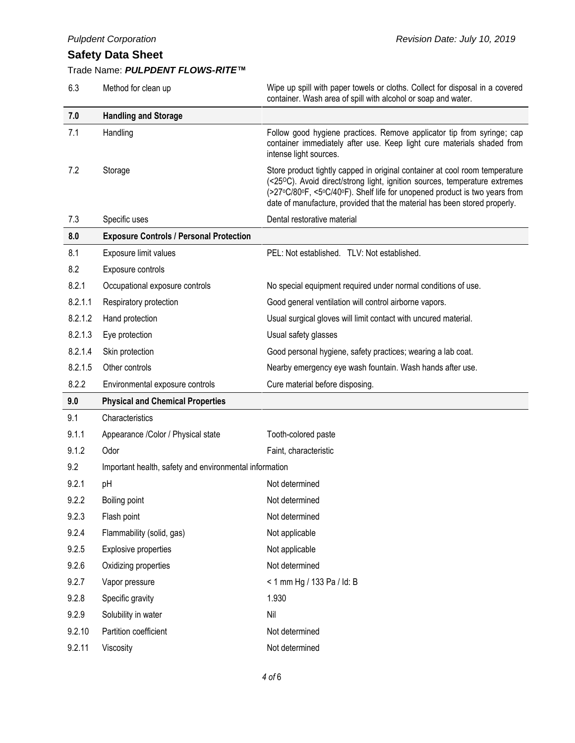| 6.3     | Method for clean up                                    | Wipe up spill with paper towels or cloths. Collect for disposal in a covered<br>container. Wash area of spill with alcohol or soap and water.                                                                                                                                                                        |  |
|---------|--------------------------------------------------------|----------------------------------------------------------------------------------------------------------------------------------------------------------------------------------------------------------------------------------------------------------------------------------------------------------------------|--|
| 7.0     | <b>Handling and Storage</b>                            |                                                                                                                                                                                                                                                                                                                      |  |
| 7.1     | Handling                                               | Follow good hygiene practices. Remove applicator tip from syringe; cap<br>container immediately after use. Keep light cure materials shaded from<br>intense light sources.                                                                                                                                           |  |
| 7.2     | Storage                                                | Store product tightly capped in original container at cool room temperature<br>(<25°C). Avoid direct/strong light, ignition sources, temperature extremes<br>(>27°C/80°F, <5°C/40°F). Shelf life for unopened product is two years from<br>date of manufacture, provided that the material has been stored properly. |  |
| 7.3     | Specific uses                                          | Dental restorative material                                                                                                                                                                                                                                                                                          |  |
| 8.0     | <b>Exposure Controls / Personal Protection</b>         |                                                                                                                                                                                                                                                                                                                      |  |
| 8.1     | Exposure limit values                                  | PEL: Not established. TLV: Not established.                                                                                                                                                                                                                                                                          |  |
| 8.2     | Exposure controls                                      |                                                                                                                                                                                                                                                                                                                      |  |
| 8.2.1   | Occupational exposure controls                         | No special equipment required under normal conditions of use.                                                                                                                                                                                                                                                        |  |
| 8.2.1.1 | Respiratory protection                                 | Good general ventilation will control airborne vapors.                                                                                                                                                                                                                                                               |  |
| 8.2.1.2 | Hand protection                                        | Usual surgical gloves will limit contact with uncured material.                                                                                                                                                                                                                                                      |  |
| 8.2.1.3 | Eye protection                                         | Usual safety glasses                                                                                                                                                                                                                                                                                                 |  |
| 8.2.1.4 | Skin protection                                        | Good personal hygiene, safety practices; wearing a lab coat.                                                                                                                                                                                                                                                         |  |
| 8.2.1.5 | Other controls                                         | Nearby emergency eye wash fountain. Wash hands after use.                                                                                                                                                                                                                                                            |  |
| 8.2.2   | Environmental exposure controls                        | Cure material before disposing.                                                                                                                                                                                                                                                                                      |  |
| 9.0     | <b>Physical and Chemical Properties</b>                |                                                                                                                                                                                                                                                                                                                      |  |
| 9.1     | Characteristics                                        |                                                                                                                                                                                                                                                                                                                      |  |
| 9.1.1   | Appearance /Color / Physical state                     | Tooth-colored paste                                                                                                                                                                                                                                                                                                  |  |
| 9.1.2   | Odor                                                   | Faint, characteristic                                                                                                                                                                                                                                                                                                |  |
| 9.2     | Important health, safety and environmental information |                                                                                                                                                                                                                                                                                                                      |  |
| 9.2.1   | pH                                                     | Not determined                                                                                                                                                                                                                                                                                                       |  |
| 9.2.2   | Boiling point                                          | Not determined                                                                                                                                                                                                                                                                                                       |  |
| 9.2.3   | Flash point                                            | Not determined                                                                                                                                                                                                                                                                                                       |  |
| 9.2.4   | Flammability (solid, gas)                              | Not applicable                                                                                                                                                                                                                                                                                                       |  |
| 9.2.5   | Explosive properties                                   | Not applicable                                                                                                                                                                                                                                                                                                       |  |
| 9.2.6   | Oxidizing properties                                   | Not determined                                                                                                                                                                                                                                                                                                       |  |
| 9.2.7   | Vapor pressure                                         | < 1 mm Hg / 133 Pa / Id: B                                                                                                                                                                                                                                                                                           |  |
| 9.2.8   | Specific gravity                                       | 1.930                                                                                                                                                                                                                                                                                                                |  |
| 9.2.9   | Solubility in water                                    | Nil                                                                                                                                                                                                                                                                                                                  |  |
| 9.2.10  | Partition coefficient                                  | Not determined                                                                                                                                                                                                                                                                                                       |  |
| 9.2.11  | Viscosity                                              | Not determined                                                                                                                                                                                                                                                                                                       |  |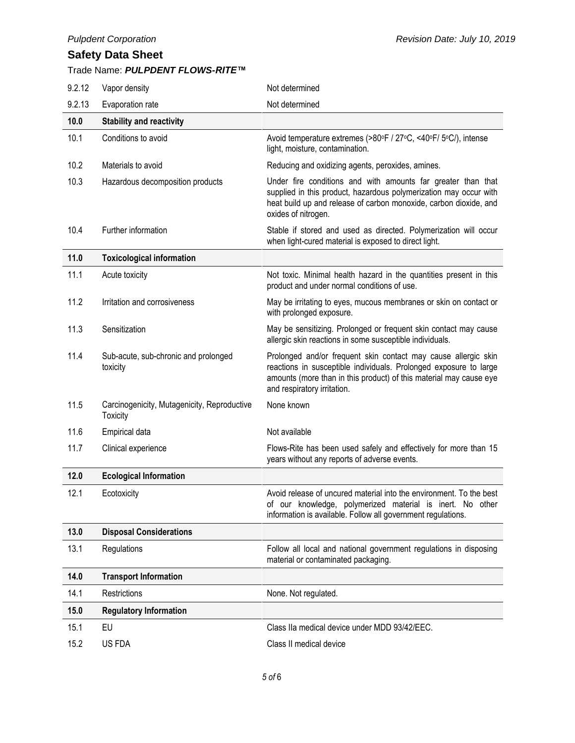| 9.2.12 | Vapor density                                                  | Not determined                                                                                                                                                                                                                           |
|--------|----------------------------------------------------------------|------------------------------------------------------------------------------------------------------------------------------------------------------------------------------------------------------------------------------------------|
| 9.2.13 | Evaporation rate                                               | Not determined                                                                                                                                                                                                                           |
| 10.0   | <b>Stability and reactivity</b>                                |                                                                                                                                                                                                                                          |
| 10.1   | Conditions to avoid                                            | Avoid temperature extremes (>80°F / 27°C, <40°F/ 5°C/), intense<br>light, moisture, contamination.                                                                                                                                       |
| 10.2   | Materials to avoid                                             | Reducing and oxidizing agents, peroxides, amines.                                                                                                                                                                                        |
| 10.3   | Hazardous decomposition products                               | Under fire conditions and with amounts far greater than that<br>supplied in this product, hazardous polymerization may occur with<br>heat build up and release of carbon monoxide, carbon dioxide, and<br>oxides of nitrogen.            |
| 10.4   | Further information                                            | Stable if stored and used as directed. Polymerization will occur<br>when light-cured material is exposed to direct light.                                                                                                                |
| 11.0   | <b>Toxicological information</b>                               |                                                                                                                                                                                                                                          |
| 11.1   | Acute toxicity                                                 | Not toxic. Minimal health hazard in the quantities present in this<br>product and under normal conditions of use.                                                                                                                        |
| 11.2   | Irritation and corrosiveness                                   | May be irritating to eyes, mucous membranes or skin on contact or<br>with prolonged exposure.                                                                                                                                            |
| 11.3   | Sensitization                                                  | May be sensitizing. Prolonged or frequent skin contact may cause<br>allergic skin reactions in some susceptible individuals.                                                                                                             |
| 11.4   | Sub-acute, sub-chronic and prolonged<br>toxicity               | Prolonged and/or frequent skin contact may cause allergic skin<br>reactions in susceptible individuals. Prolonged exposure to large<br>amounts (more than in this product) of this material may cause eye<br>and respiratory irritation. |
| 11.5   | Carcinogenicity, Mutagenicity, Reproductive<br><b>Toxicity</b> | None known                                                                                                                                                                                                                               |
| 11.6   | Empirical data                                                 | Not available                                                                                                                                                                                                                            |
| 11.7   | Clinical experience                                            | Flows-Rite has been used safely and effectively for more than 15<br>years without any reports of adverse events.                                                                                                                         |
| 12.0   | <b>Ecological Information</b>                                  |                                                                                                                                                                                                                                          |
| 12.1   | Ecotoxicity                                                    | Avoid release of uncured material into the environment. To the best<br>of our knowledge, polymerized material is inert. No other<br>information is available. Follow all government regulations.                                         |
| 13.0   | <b>Disposal Considerations</b>                                 |                                                                                                                                                                                                                                          |
| 13.1   | Regulations                                                    | Follow all local and national government regulations in disposing<br>material or contaminated packaging.                                                                                                                                 |
| 14.0   | <b>Transport Information</b>                                   |                                                                                                                                                                                                                                          |
| 14.1   | Restrictions                                                   | None. Not regulated.                                                                                                                                                                                                                     |
| 15.0   | <b>Regulatory Information</b>                                  |                                                                                                                                                                                                                                          |
| 15.1   | EU                                                             | Class IIa medical device under MDD 93/42/EEC.                                                                                                                                                                                            |
| 15.2   | US FDA                                                         | Class II medical device                                                                                                                                                                                                                  |